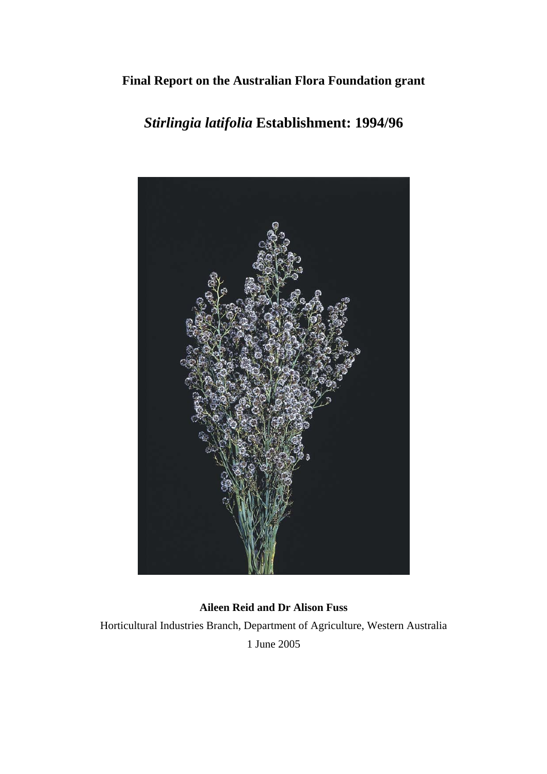## **Final Report on the Australian Flora Foundation grant**

# *Stirlingia latifolia* **Establishment: 1994/96**



**Aileen Reid and Dr Alison Fuss**  Horticultural Industries Branch, Department of Agriculture, Western Australia 1 June 2005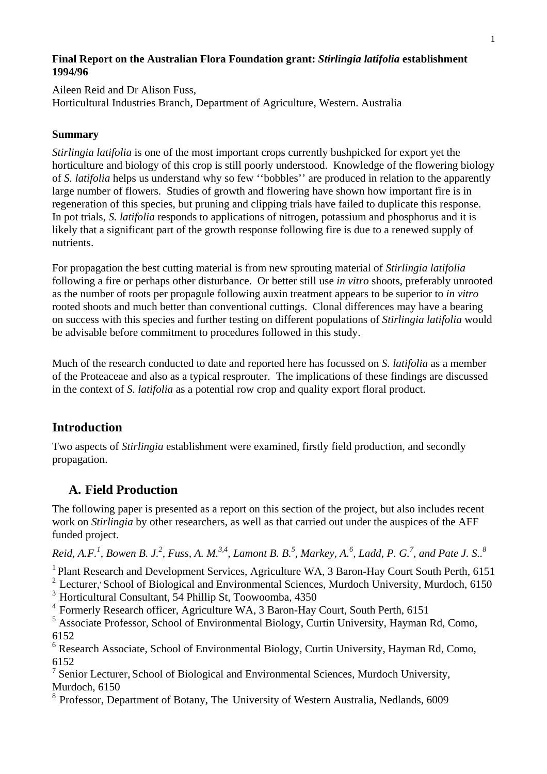## **Final Report on the Australian Flora Foundation grant:** *Stirlingia latifolia* **establishment 1994/96**

Aileen Reid and Dr Alison Fuss, Horticultural Industries Branch, Department of Agriculture, Western. Australia

## **Summary**

*Stirlingia latifolia* is one of the most important crops currently bushpicked for export yet the horticulture and biology of this crop is still poorly understood. Knowledge of the flowering biology of *S. latifolia* helps us understand why so few ''bobbles'' are produced in relation to the apparently large number of flowers. Studies of growth and flowering have shown how important fire is in regeneration of this species, but pruning and clipping trials have failed to duplicate this response. In pot trials, *S. latifolia* responds to applications of nitrogen, potassium and phosphorus and it is likely that a significant part of the growth response following fire is due to a renewed supply of nutrients.

For propagation the best cutting material is from new sprouting material of *Stirlingia latifolia* following a fire or perhaps other disturbance. Or better still use *in vitro* shoots, preferably unrooted as the number of roots per propagule following auxin treatment appears to be superior to *in vitro* rooted shoots and much better than conventional cuttings. Clonal differences may have a bearing on success with this species and further testing on different populations of *Stirlingia latifolia* would be advisable before commitment to procedures followed in this study.

Much of the research conducted to date and reported here has focussed on *S. latifolia* as a member of the Proteaceae and also as a typical resprouter. The implications of these findings are discussed in the context of *S. latifolia* as a potential row crop and quality export floral product.

## **Introduction**

Two aspects of *Stirlingia* establishment were examined, firstly field production, and secondly propagation.

## **A. Field Production**

The following paper is presented as a report on this section of the project, but also includes recent work on *Stirlingia* by other researchers, as well as that carried out under the auspices of the AFF funded project.

*Reid, A.F.<sup>1</sup> , Bowen B. J.2 , Fuss, A. M.3,4, Lamont B. B.5 , Markey, A.<sup>6</sup> , Ladd, P. G.<sup>7</sup> , and Pate J. S..<sup>8</sup>*

<sup>1</sup> Plant Research and Development Services, Agriculture WA, 3 Baron-Hay Court South Perth, 6151

 $2$  Lecturer, School of Biological and Environmental Sciences, Murdoch University, Murdoch, 6150

3 Horticultural Consultant, 54 Phillip St, Toowoomba, 4350

4 Formerly Research officer, Agriculture WA, 3 Baron-Hay Court, South Perth, 6151

<sup>5</sup> Associate Professor, School of Environmental Biology, Curtin University, Hayman Rd, Como, 6152

<sup>6</sup> Research Associate, School of Environmental Biology, Curtin University, Hayman Rd, Como, 6152

<sup>7</sup> Senior Lecturer, School of Biological and Environmental Sciences, Murdoch University, Murdoch, 6150

8 Professor, Department of Botany, The University of Western Australia, Nedlands, 6009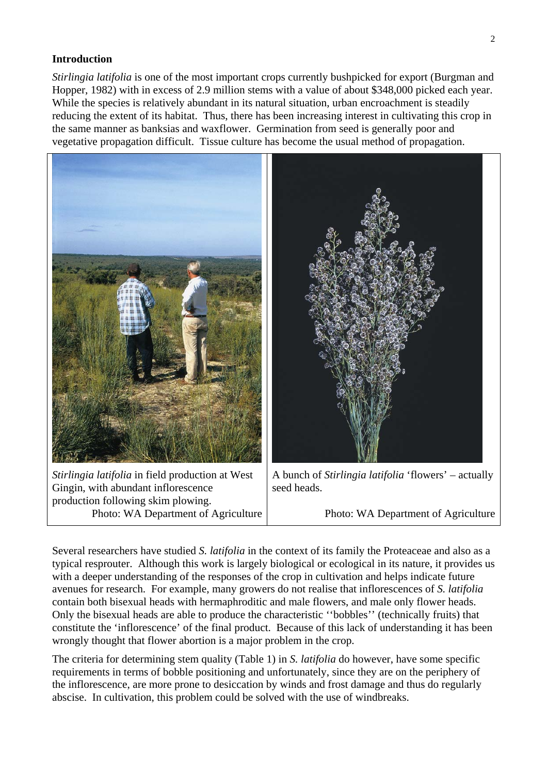### **Introduction**

*Stirlingia latifolia* is one of the most important crops currently bushpicked for export (Burgman and Hopper, 1982) with in excess of 2.9 million stems with a value of about \$348,000 picked each year. While the species is relatively abundant in its natural situation, urban encroachment is steadily reducing the extent of its habitat. Thus, there has been increasing interest in cultivating this crop in the same manner as banksias and waxflower. Germination from seed is generally poor and vegetative propagation difficult. Tissue culture has become the usual method of propagation.



Several researchers have studied *S. latifolia* in the context of its family the Proteaceae and also as a typical resprouter. Although this work is largely biological or ecological in its nature, it provides us with a deeper understanding of the responses of the crop in cultivation and helps indicate future avenues for research. For example, many growers do not realise that inflorescences of *S. latifolia* contain both bisexual heads with hermaphroditic and male flowers, and male only flower heads. Only the bisexual heads are able to produce the characteristic ''bobbles'' (technically fruits) that constitute the 'inflorescence' of the final product. Because of this lack of understanding it has been wrongly thought that flower abortion is a major problem in the crop.

The criteria for determining stem quality (Table 1) in *S. latifolia* do however, have some specific requirements in terms of bobble positioning and unfortunately, since they are on the periphery of the inflorescence, are more prone to desiccation by winds and frost damage and thus do regularly abscise. In cultivation, this problem could be solved with the use of windbreaks.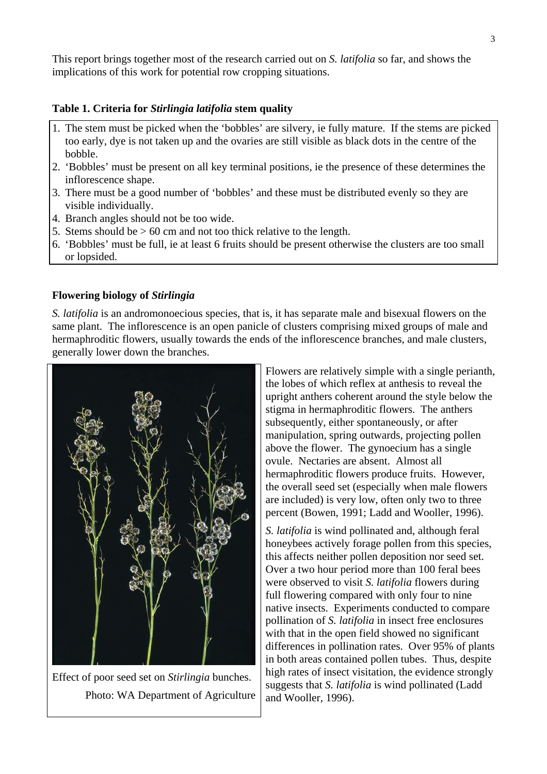This report brings together most of the research carried out on *S. latifolia* so far, and shows the implications of this work for potential row cropping situations.

### **Table 1. Criteria for** *Stirlingia latifolia* **stem quality**

- 1. The stem must be picked when the 'bobbles' are silvery, ie fully mature. If the stems are picked too early, dye is not taken up and the ovaries are still visible as black dots in the centre of the bobble.
- 2. 'Bobbles' must be present on all key terminal positions, ie the presence of these determines the inflorescence shape.
- 3. There must be a good number of 'bobbles' and these must be distributed evenly so they are visible individually.
- 4. Branch angles should not be too wide.
- 5. Stems should be  $> 60$  cm and not too thick relative to the length.
- 6. 'Bobbles' must be full, ie at least 6 fruits should be present otherwise the clusters are too small or lopsided.

### **Flowering biology of** *Stirlingia*

*S. latifolia* is an andromonoecious species, that is, it has separate male and bisexual flowers on the same plant. The inflorescence is an open panicle of clusters comprising mixed groups of male and hermaphroditic flowers, usually towards the ends of the inflorescence branches, and male clusters, generally lower down the branches.



Effect of poor seed set on *Stirlingia* bunches. Photo: WA Department of Agriculture

Flowers are relatively simple with a single perianth, the lobes of which reflex at anthesis to reveal the upright anthers coherent around the style below the stigma in hermaphroditic flowers. The anthers subsequently, either spontaneously, or after manipulation, spring outwards, projecting pollen above the flower. The gynoecium has a single ovule. Nectaries are absent. Almost all hermaphroditic flowers produce fruits. However, the overall seed set (especially when male flowers are included) is very low, often only two to three percent (Bowen, 1991; Ladd and Wooller, 1996).

*S. latifolia* is wind pollinated and, although feral honeybees actively forage pollen from this species, this affects neither pollen deposition nor seed set. Over a two hour period more than 100 feral bees were observed to visit *S. latifolia* flowers during full flowering compared with only four to nine native insects. Experiments conducted to compare pollination of *S. latifolia* in insect free enclosures with that in the open field showed no significant differences in pollination rates. Over 95% of plants in both areas contained pollen tubes. Thus, despite high rates of insect visitation, the evidence strongly suggests that *S. latifolia* is wind pollinated (Ladd and Wooller, 1996).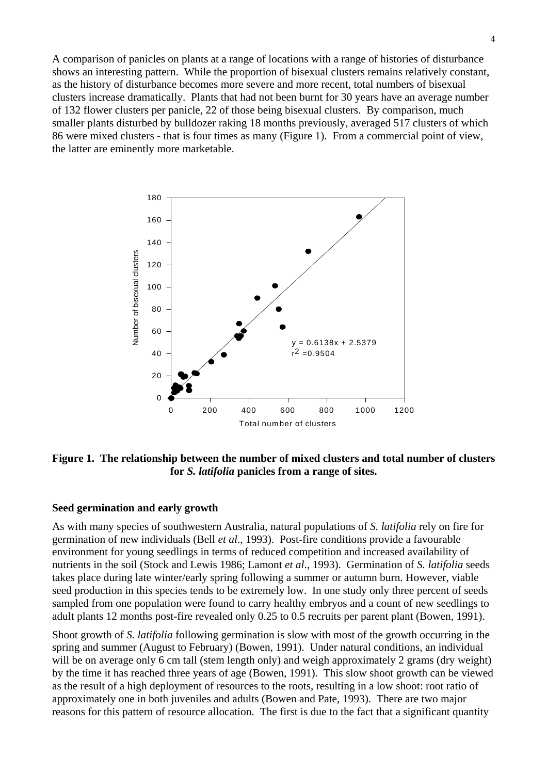A comparison of panicles on plants at a range of locations with a range of histories of disturbance shows an interesting pattern. While the proportion of bisexual clusters remains relatively constant, as the history of disturbance becomes more severe and more recent, total numbers of bisexual clusters increase dramatically. Plants that had not been burnt for 30 years have an average number of 132 flower clusters per panicle, 22 of those being bisexual clusters. By comparison, much smaller plants disturbed by bulldozer raking 18 months previously, averaged 517 clusters of which 86 were mixed clusters - that is four times as many (Figure 1). From a commercial point of view, the latter are eminently more marketable.



**Figure 1. The relationship between the number of mixed clusters and total number of clusters for** *S. latifolia* **panicles from a range of sites.** 

#### **Seed germination and early growth**

As with many species of southwestern Australia, natural populations of *S. latifolia* rely on fire for germination of new individuals (Bell *et al*., 1993). Post-fire conditions provide a favourable environment for young seedlings in terms of reduced competition and increased availability of nutrients in the soil (Stock and Lewis 1986; Lamont *et al*., 1993). Germination of *S. latifolia* seeds takes place during late winter/early spring following a summer or autumn burn. However, viable seed production in this species tends to be extremely low. In one study only three percent of seeds sampled from one population were found to carry healthy embryos and a count of new seedlings to adult plants 12 months post-fire revealed only 0.25 to 0.5 recruits per parent plant (Bowen, 1991).

Shoot growth of *S. latifolia* following germination is slow with most of the growth occurring in the spring and summer (August to February) (Bowen, 1991). Under natural conditions, an individual will be on average only 6 cm tall (stem length only) and weigh approximately 2 grams (dry weight) by the time it has reached three years of age (Bowen, 1991). This slow shoot growth can be viewed as the result of a high deployment of resources to the roots, resulting in a low shoot: root ratio of approximately one in both juveniles and adults (Bowen and Pate, 1993). There are two major reasons for this pattern of resource allocation. The first is due to the fact that a significant quantity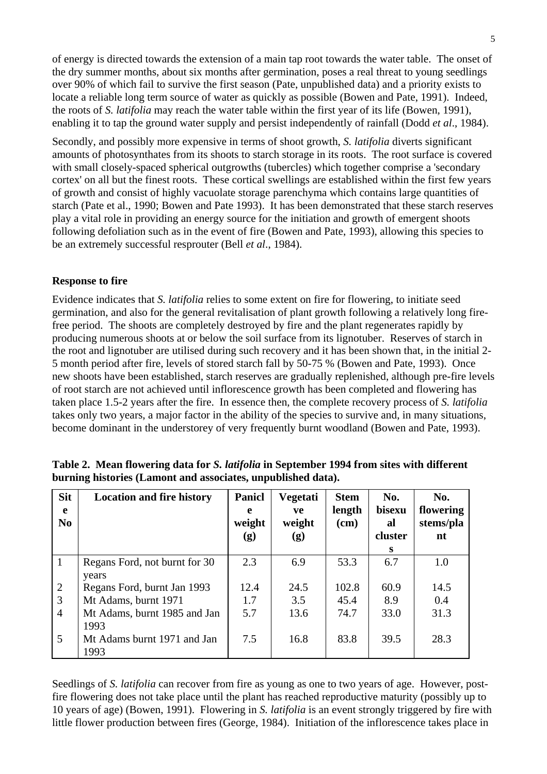of energy is directed towards the extension of a main tap root towards the water table. The onset of the dry summer months, about six months after germination, poses a real threat to young seedlings over 90% of which fail to survive the first season (Pate, unpublished data) and a priority exists to locate a reliable long term source of water as quickly as possible (Bowen and Pate, 1991). Indeed, the roots of *S. latifolia* may reach the water table within the first year of its life (Bowen, 1991), enabling it to tap the ground water supply and persist independently of rainfall (Dodd *et al*., 1984).

Secondly, and possibly more expensive in terms of shoot growth, *S. latifolia* diverts significant amounts of photosynthates from its shoots to starch storage in its roots. The root surface is covered with small closely-spaced spherical outgrowths (tubercles) which together comprise a 'secondary cortex' on all but the finest roots. These cortical swellings are established within the first few years of growth and consist of highly vacuolate storage parenchyma which contains large quantities of starch (Pate et al., 1990; Bowen and Pate 1993). It has been demonstrated that these starch reserves play a vital role in providing an energy source for the initiation and growth of emergent shoots following defoliation such as in the event of fire (Bowen and Pate, 1993), allowing this species to be an extremely successful resprouter (Bell *et al*., 1984).

### **Response to fire**

Evidence indicates that *S. latifolia* relies to some extent on fire for flowering, to initiate seed germination, and also for the general revitalisation of plant growth following a relatively long firefree period. The shoots are completely destroyed by fire and the plant regenerates rapidly by producing numerous shoots at or below the soil surface from its lignotuber. Reserves of starch in the root and lignotuber are utilised during such recovery and it has been shown that, in the initial 2- 5 month period after fire, levels of stored starch fall by 50-75 % (Bowen and Pate, 1993). Once new shoots have been established, starch reserves are gradually replenished, although pre-fire levels of root starch are not achieved until inflorescence growth has been completed and flowering has taken place 1.5-2 years after the fire. In essence then, the complete recovery process of *S. latifolia* takes only two years, a major factor in the ability of the species to survive and, in many situations, become dominant in the understorey of very frequently burnt woodland (Bowen and Pate, 1993).

| <b>Sit</b><br>e<br>N <sub>0</sub> | <b>Location and fire history</b>    | <b>Panicl</b><br>e<br>weight<br>(g) | Vegetati<br>ve<br>weight<br>$\left( \mathbf{g}\right)$ | <b>Stem</b><br>length<br>$(cm)$ | No.<br>bisexu<br>al<br>cluster | No.<br>flowering<br>stems/pla<br>nt |
|-----------------------------------|-------------------------------------|-------------------------------------|--------------------------------------------------------|---------------------------------|--------------------------------|-------------------------------------|
| $\mathbf{1}$                      | Regans Ford, not burnt for 30       | 2.3                                 | 6.9                                                    | 53.3                            | S<br>6.7                       | 1.0                                 |
|                                   | years                               |                                     |                                                        |                                 |                                |                                     |
| $\overline{2}$                    | Regans Ford, burnt Jan 1993         | 12.4                                | 24.5                                                   | 102.8                           | 60.9                           | 14.5                                |
| 3                                 | Mt Adams, burnt 1971                | 1.7                                 | 3.5                                                    | 45.4                            | 8.9                            | 0.4                                 |
| $\overline{4}$                    | Mt Adams, burnt 1985 and Jan        | 5.7                                 | 13.6                                                   | 74.7                            | 33.0                           | 31.3                                |
|                                   | 1993                                |                                     |                                                        |                                 |                                |                                     |
| 5                                 | Mt Adams burnt 1971 and Jan<br>1993 | 7.5                                 | 16.8                                                   | 83.8                            | 39.5                           | 28.3                                |

**Table 2. Mean flowering data for** *S. latifolia* **in September 1994 from sites with different burning histories (Lamont and associates, unpublished data).** 

Seedlings of *S. latifolia* can recover from fire as young as one to two years of age. However, postfire flowering does not take place until the plant has reached reproductive maturity (possibly up to 10 years of age) (Bowen, 1991). Flowering in *S. latifolia* is an event strongly triggered by fire with little flower production between fires (George, 1984). Initiation of the inflorescence takes place in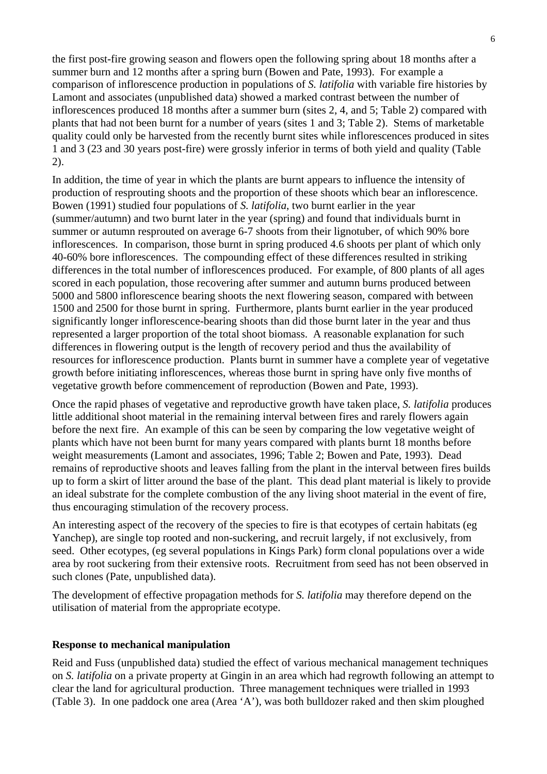the first post-fire growing season and flowers open the following spring about 18 months after a summer burn and 12 months after a spring burn (Bowen and Pate, 1993). For example a comparison of inflorescence production in populations of *S. latifolia* with variable fire histories by Lamont and associates (unpublished data) showed a marked contrast between the number of inflorescences produced 18 months after a summer burn (sites 2, 4, and 5; Table 2) compared with plants that had not been burnt for a number of years (sites 1 and 3; Table 2). Stems of marketable quality could only be harvested from the recently burnt sites while inflorescences produced in sites 1 and 3 (23 and 30 years post-fire) were grossly inferior in terms of both yield and quality (Table 2).

In addition, the time of year in which the plants are burnt appears to influence the intensity of production of resprouting shoots and the proportion of these shoots which bear an inflorescence. Bowen (1991) studied four populations of *S. latifolia*, two burnt earlier in the year (summer/autumn) and two burnt later in the year (spring) and found that individuals burnt in summer or autumn resprouted on average 6-7 shoots from their lignotuber, of which 90% bore inflorescences. In comparison, those burnt in spring produced 4.6 shoots per plant of which only 40-60% bore inflorescences. The compounding effect of these differences resulted in striking differences in the total number of inflorescences produced. For example, of 800 plants of all ages scored in each population, those recovering after summer and autumn burns produced between 5000 and 5800 inflorescence bearing shoots the next flowering season, compared with between 1500 and 2500 for those burnt in spring. Furthermore, plants burnt earlier in the year produced significantly longer inflorescence-bearing shoots than did those burnt later in the year and thus represented a larger proportion of the total shoot biomass. A reasonable explanation for such differences in flowering output is the length of recovery period and thus the availability of resources for inflorescence production. Plants burnt in summer have a complete year of vegetative growth before initiating inflorescences, whereas those burnt in spring have only five months of vegetative growth before commencement of reproduction (Bowen and Pate, 1993).

Once the rapid phases of vegetative and reproductive growth have taken place, *S. latifolia* produces little additional shoot material in the remaining interval between fires and rarely flowers again before the next fire. An example of this can be seen by comparing the low vegetative weight of plants which have not been burnt for many years compared with plants burnt 18 months before weight measurements (Lamont and associates, 1996; Table 2; Bowen and Pate, 1993). Dead remains of reproductive shoots and leaves falling from the plant in the interval between fires builds up to form a skirt of litter around the base of the plant. This dead plant material is likely to provide an ideal substrate for the complete combustion of the any living shoot material in the event of fire, thus encouraging stimulation of the recovery process.

An interesting aspect of the recovery of the species to fire is that ecotypes of certain habitats (eg Yanchep), are single top rooted and non-suckering, and recruit largely, if not exclusively, from seed. Other ecotypes, (eg several populations in Kings Park) form clonal populations over a wide area by root suckering from their extensive roots. Recruitment from seed has not been observed in such clones (Pate, unpublished data).

The development of effective propagation methods for *S. latifolia* may therefore depend on the utilisation of material from the appropriate ecotype.

## **Response to mechanical manipulation**

Reid and Fuss (unpublished data) studied the effect of various mechanical management techniques on *S. latifolia* on a private property at Gingin in an area which had regrowth following an attempt to clear the land for agricultural production. Three management techniques were trialled in 1993 (Table 3). In one paddock one area (Area 'A'), was both bulldozer raked and then skim ploughed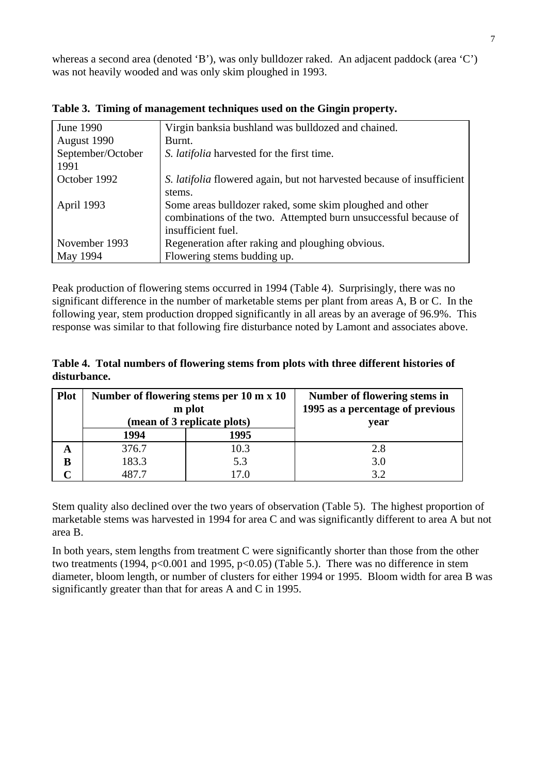whereas a second area (denoted 'B'), was only bulldozer raked. An adjacent paddock (area 'C') was not heavily wooded and was only skim ploughed in 1993.

| June 1990         | Virgin banksia bushland was bulldozed and chained.                            |
|-------------------|-------------------------------------------------------------------------------|
| August 1990       | Burnt.                                                                        |
| September/October | S. <i>latifolia</i> harvested for the first time.                             |
| 1991              |                                                                               |
| October 1992      | S. <i>latifolia</i> flowered again, but not harvested because of insufficient |
|                   | stems.                                                                        |
| April 1993        | Some areas bulldozer raked, some skim ploughed and other                      |
|                   | combinations of the two. Attempted burn unsuccessful because of               |
|                   | insufficient fuel.                                                            |
| November 1993     | Regeneration after raking and ploughing obvious.                              |
| May 1994          | Flowering stems budding up.                                                   |

**Table 3. Timing of management techniques used on the Gingin property.** 

Peak production of flowering stems occurred in 1994 (Table 4). Surprisingly, there was no significant difference in the number of marketable stems per plant from areas A, B or C. In the following year, stem production dropped significantly in all areas by an average of 96.9%. This response was similar to that following fire disturbance noted by Lamont and associates above.

**Table 4. Total numbers of flowering stems from plots with three different histories of disturbance.** 

| <b>Plot</b> |       | Number of flowering stems per 10 m x 10<br>m plot | Number of flowering stems in<br>1995 as a percentage of previous |  |  |
|-------------|-------|---------------------------------------------------|------------------------------------------------------------------|--|--|
|             |       | (mean of 3 replicate plots)                       | vear                                                             |  |  |
|             | 1994  | 1995                                              |                                                                  |  |  |
| A           | 376.7 | 10.3                                              | 2.8                                                              |  |  |
| B           | 183.3 | 5.3                                               | 3.0                                                              |  |  |
|             | 187 7 |                                                   |                                                                  |  |  |

Stem quality also declined over the two years of observation (Table 5). The highest proportion of marketable stems was harvested in 1994 for area C and was significantly different to area A but not area B.

In both years, stem lengths from treatment C were significantly shorter than those from the other two treatments (1994,  $p<0.001$  and 1995,  $p<0.05$ ) (Table 5.). There was no difference in stem diameter, bloom length, or number of clusters for either 1994 or 1995. Bloom width for area B was significantly greater than that for areas A and C in 1995.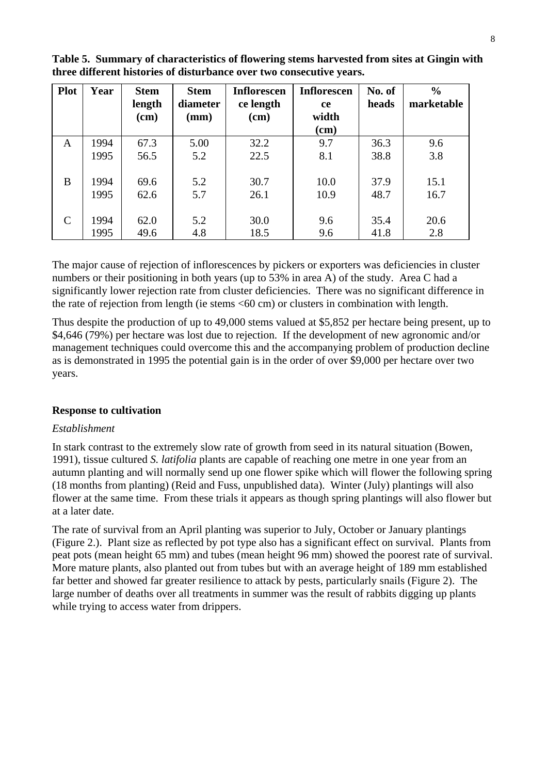| <b>Plot</b> | Year | <b>Stem</b><br>length<br>(cm) | <b>Stem</b><br>diameter<br>(mm) | Inflorescen<br>ce length<br>$(cm)$ | <b>Inflorescen</b><br><b>ce</b><br>width | No. of<br>heads | $\frac{0}{0}$<br>marketable |
|-------------|------|-------------------------------|---------------------------------|------------------------------------|------------------------------------------|-----------------|-----------------------------|
|             |      |                               |                                 |                                    | $(cm)$                                   |                 |                             |
| A           | 1994 | 67.3                          | 5.00                            | 32.2                               | 9.7                                      | 36.3            | 9.6                         |
|             | 1995 | 56.5                          | 5.2                             | 22.5                               | 8.1                                      | 38.8            | 3.8                         |
|             |      |                               |                                 |                                    |                                          |                 |                             |
| B           | 1994 | 69.6                          | 5.2                             | 30.7                               | 10.0                                     | 37.9            | 15.1                        |
|             | 1995 | 62.6                          | 5.7                             | 26.1                               | 10.9                                     | 48.7            | 16.7                        |
|             |      |                               |                                 |                                    |                                          |                 |                             |
| C           | 1994 | 62.0                          | 5.2                             | 30.0                               | 9.6                                      | 35.4            | 20.6                        |
|             | 1995 | 49.6                          | 4.8                             | 18.5                               | 9.6                                      | 41.8            | 2.8                         |

**Table 5. Summary of characteristics of flowering stems harvested from sites at Gingin with three different histories of disturbance over two consecutive years.** 

The major cause of rejection of inflorescences by pickers or exporters was deficiencies in cluster numbers or their positioning in both years (up to 53% in area A) of the study. Area C had a significantly lower rejection rate from cluster deficiencies. There was no significant difference in the rate of rejection from length (ie stems <60 cm) or clusters in combination with length.

Thus despite the production of up to 49,000 stems valued at \$5,852 per hectare being present, up to \$4,646 (79%) per hectare was lost due to rejection. If the development of new agronomic and/or management techniques could overcome this and the accompanying problem of production decline as is demonstrated in 1995 the potential gain is in the order of over \$9,000 per hectare over two years.

## **Response to cultivation**

## *Establishment*

In stark contrast to the extremely slow rate of growth from seed in its natural situation (Bowen, 1991), tissue cultured *S. latifolia* plants are capable of reaching one metre in one year from an autumn planting and will normally send up one flower spike which will flower the following spring (18 months from planting) (Reid and Fuss, unpublished data). Winter (July) plantings will also flower at the same time. From these trials it appears as though spring plantings will also flower but at a later date.

The rate of survival from an April planting was superior to July, October or January plantings (Figure 2.). Plant size as reflected by pot type also has a significant effect on survival. Plants from peat pots (mean height 65 mm) and tubes (mean height 96 mm) showed the poorest rate of survival. More mature plants, also planted out from tubes but with an average height of 189 mm established far better and showed far greater resilience to attack by pests, particularly snails (Figure 2). The large number of deaths over all treatments in summer was the result of rabbits digging up plants while trying to access water from drippers.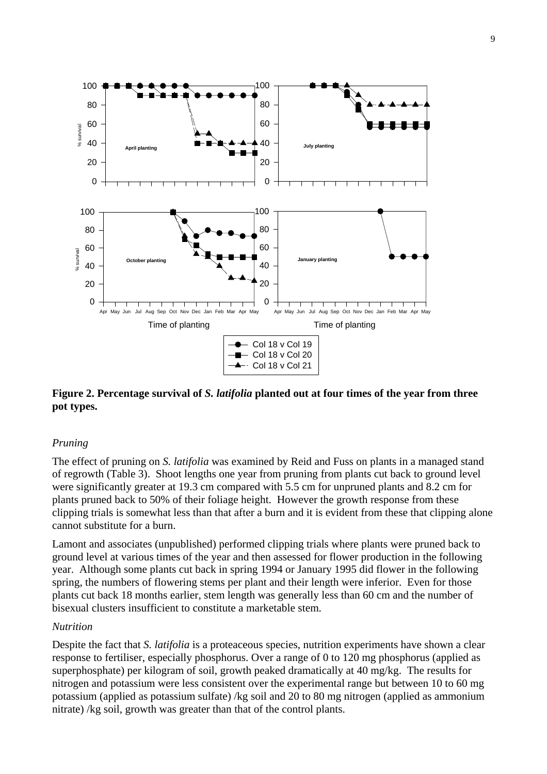

## **Figure 2. Percentage survival of** *S. latifolia* **planted out at four times of the year from three pot types.**

## *Pruning*

The effect of pruning on *S. latifolia* was examined by Reid and Fuss on plants in a managed stand of regrowth (Table 3). Shoot lengths one year from pruning from plants cut back to ground level were significantly greater at 19.3 cm compared with 5.5 cm for unpruned plants and 8.2 cm for plants pruned back to 50% of their foliage height. However the growth response from these clipping trials is somewhat less than that after a burn and it is evident from these that clipping alone cannot substitute for a burn.

Lamont and associates (unpublished) performed clipping trials where plants were pruned back to ground level at various times of the year and then assessed for flower production in the following year. Although some plants cut back in spring 1994 or January 1995 did flower in the following spring, the numbers of flowering stems per plant and their length were inferior. Even for those plants cut back 18 months earlier, stem length was generally less than 60 cm and the number of bisexual clusters insufficient to constitute a marketable stem.

## *Nutrition*

Despite the fact that *S. latifolia* is a proteaceous species, nutrition experiments have shown a clear response to fertiliser, especially phosphorus. Over a range of 0 to 120 mg phosphorus (applied as superphosphate) per kilogram of soil, growth peaked dramatically at 40 mg/kg. The results for nitrogen and potassium were less consistent over the experimental range but between 10 to 60 mg potassium (applied as potassium sulfate) /kg soil and 20 to 80 mg nitrogen (applied as ammonium nitrate) /kg soil, growth was greater than that of the control plants.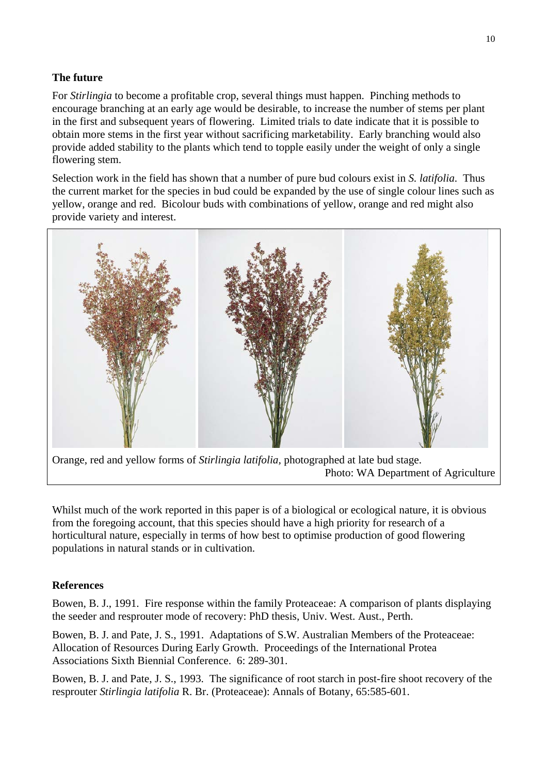## **The future**

For *Stirlingia* to become a profitable crop, several things must happen. Pinching methods to encourage branching at an early age would be desirable, to increase the number of stems per plant in the first and subsequent years of flowering. Limited trials to date indicate that it is possible to obtain more stems in the first year without sacrificing marketability. Early branching would also provide added stability to the plants which tend to topple easily under the weight of only a single flowering stem.

Selection work in the field has shown that a number of pure bud colours exist in *S. latifolia*. Thus the current market for the species in bud could be expanded by the use of single colour lines such as yellow, orange and red. Bicolour buds with combinations of yellow, orange and red might also provide variety and interest.



Orange, red and yellow forms of *Stirlingia latifolia,* photographed at late bud stage. Photo: WA Department of Agriculture

Whilst much of the work reported in this paper is of a biological or ecological nature, it is obvious from the foregoing account, that this species should have a high priority for research of a horticultural nature, especially in terms of how best to optimise production of good flowering populations in natural stands or in cultivation.

## **References**

Bowen, B. J., 1991. Fire response within the family Proteaceae: A comparison of plants displaying the seeder and resprouter mode of recovery: PhD thesis, Univ. West. Aust., Perth.

Bowen, B. J. and Pate, J. S., 1991. Adaptations of S.W. Australian Members of the Proteaceae: Allocation of Resources During Early Growth. Proceedings of the International Protea Associations Sixth Biennial Conference. 6: 289-301.

Bowen, B. J. and Pate, J. S., 1993. The significance of root starch in post-fire shoot recovery of the resprouter *Stirlingia latifolia* R. Br. (Proteaceae): Annals of Botany, 65:585-601.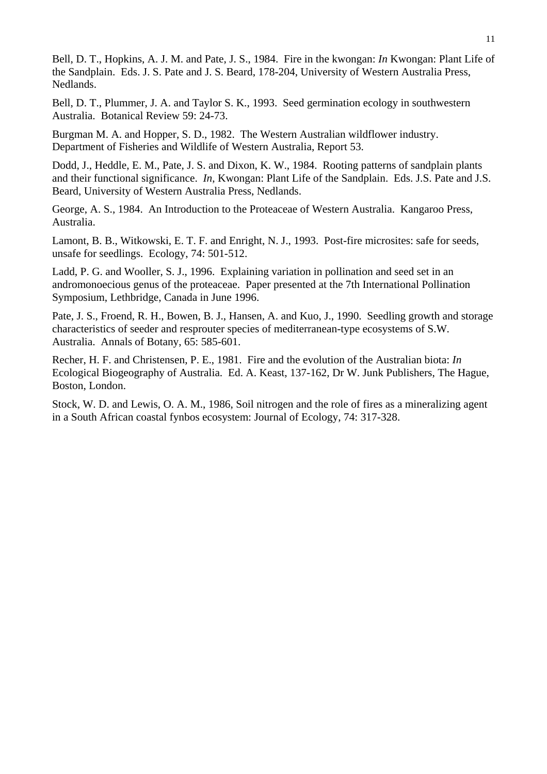Bell, D. T., Hopkins, A. J. M. and Pate, J. S., 1984. Fire in the kwongan: *In* Kwongan: Plant Life of the Sandplain. Eds. J. S. Pate and J. S. Beard, 178-204, University of Western Australia Press, Nedlands.

Bell, D. T., Plummer, J. A. and Taylor S. K., 1993. Seed germination ecology in southwestern Australia. Botanical Review 59: 24-73.

Burgman M. A. and Hopper, S. D., 1982. The Western Australian wildflower industry. Department of Fisheries and Wildlife of Western Australia, Report 53.

Dodd, J., Heddle, E. M., Pate, J. S. and Dixon, K. W., 1984. Rooting patterns of sandplain plants and their functional significance. *In*, Kwongan: Plant Life of the Sandplain. Eds. J.S. Pate and J.S. Beard, University of Western Australia Press, Nedlands.

George, A. S., 1984. An Introduction to the Proteaceae of Western Australia. Kangaroo Press, Australia.

Lamont, B. B., Witkowski, E. T. F. and Enright, N. J., 1993. Post-fire microsites: safe for seeds, unsafe for seedlings. Ecology, 74: 501-512.

Ladd, P. G. and Wooller, S. J., 1996. Explaining variation in pollination and seed set in an andromonoecious genus of the proteaceae. Paper presented at the 7th International Pollination Symposium, Lethbridge, Canada in June 1996.

Pate, J. S., Froend, R. H., Bowen, B. J., Hansen, A. and Kuo, J., 1990. Seedling growth and storage characteristics of seeder and resprouter species of mediterranean-type ecosystems of S.W. Australia. Annals of Botany, 65: 585-601.

Recher, H. F. and Christensen, P. E., 1981. Fire and the evolution of the Australian biota: *In* Ecological Biogeography of Australia. Ed. A. Keast, 137-162, Dr W. Junk Publishers, The Hague, Boston, London.

Stock, W. D. and Lewis, O. A. M., 1986, Soil nitrogen and the role of fires as a mineralizing agent in a South African coastal fynbos ecosystem: Journal of Ecology, 74: 317-328.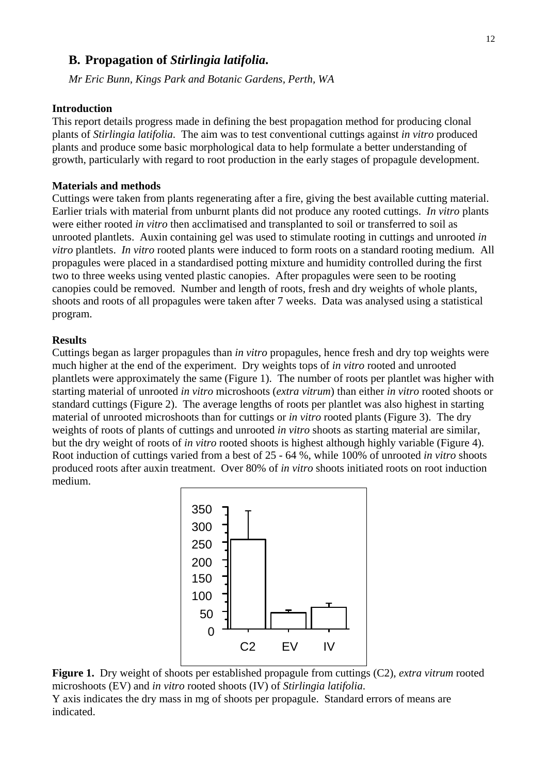## **B. Propagation of** *Stirlingia latifolia***.**

*Mr Eric Bunn, Kings Park and Botanic Gardens, Perth, WA* 

#### **Introduction**

This report details progress made in defining the best propagation method for producing clonal plants of *Stirlingia latifolia*. The aim was to test conventional cuttings against *in vitro* produced plants and produce some basic morphological data to help formulate a better understanding of growth, particularly with regard to root production in the early stages of propagule development.

#### **Materials and methods**

Cuttings were taken from plants regenerating after a fire, giving the best available cutting material. Earlier trials with material from unburnt plants did not produce any rooted cuttings. *In vitro* plants were either rooted *in vitro* then acclimatised and transplanted to soil or transferred to soil as unrooted plantlets. Auxin containing gel was used to stimulate rooting in cuttings and unrooted *in vitro* plantlets. *In vitro* rooted plants were induced to form roots on a standard rooting medium. All propagules were placed in a standardised potting mixture and humidity controlled during the first two to three weeks using vented plastic canopies. After propagules were seen to be rooting canopies could be removed. Number and length of roots, fresh and dry weights of whole plants, shoots and roots of all propagules were taken after 7 weeks. Data was analysed using a statistical program.

## **Results**

Cuttings began as larger propagules than *in vitro* propagules, hence fresh and dry top weights were much higher at the end of the experiment. Dry weights tops of *in vitro* rooted and unrooted plantlets were approximately the same (Figure 1). The number of roots per plantlet was higher with starting material of unrooted *in vitro* microshoots (*extra vitrum*) than either *in vitro* rooted shoots or standard cuttings (Figure 2). The average lengths of roots per plantlet was also highest in starting material of unrooted microshoots than for cuttings or *in vitro* rooted plants (Figure 3). The dry weights of roots of plants of cuttings and unrooted *in vitro* shoots as starting material are similar, but the dry weight of roots of *in vitro* rooted shoots is highest although highly variable (Figure 4). Root induction of cuttings varied from a best of 25 - 64 %, while 100% of unrooted *in vitro* shoots produced roots after auxin treatment. Over 80% of *in vitro* shoots initiated roots on root induction medium.



**Figure 1.** Dry weight of shoots per established propagule from cuttings (C2), *extra vitrum* rooted microshoots (EV) and *in vitro* rooted shoots (IV) of *Stirlingia latifolia*.

Y axis indicates the dry mass in mg of shoots per propagule. Standard errors of means are indicated.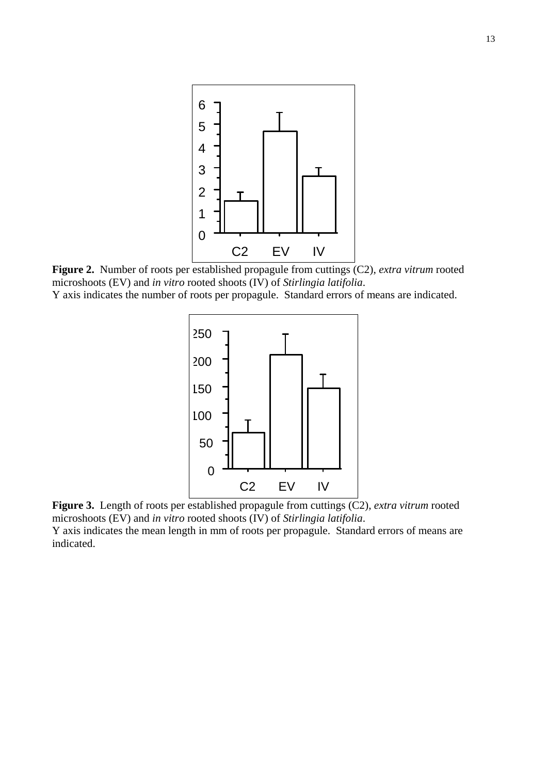

**Figure 2.** Number of roots per established propagule from cuttings (C2), *extra vitrum* rooted microshoots (EV) and *in vitro* rooted shoots (IV) of *Stirlingia latifolia*. Y axis indicates the number of roots per propagule. Standard errors of means are indicated.



**Figure 3.** Length of roots per established propagule from cuttings (C2), *extra vitrum* rooted microshoots (EV) and *in vitro* rooted shoots (IV) of *Stirlingia latifolia*.

Y axis indicates the mean length in mm of roots per propagule. Standard errors of means are indicated.